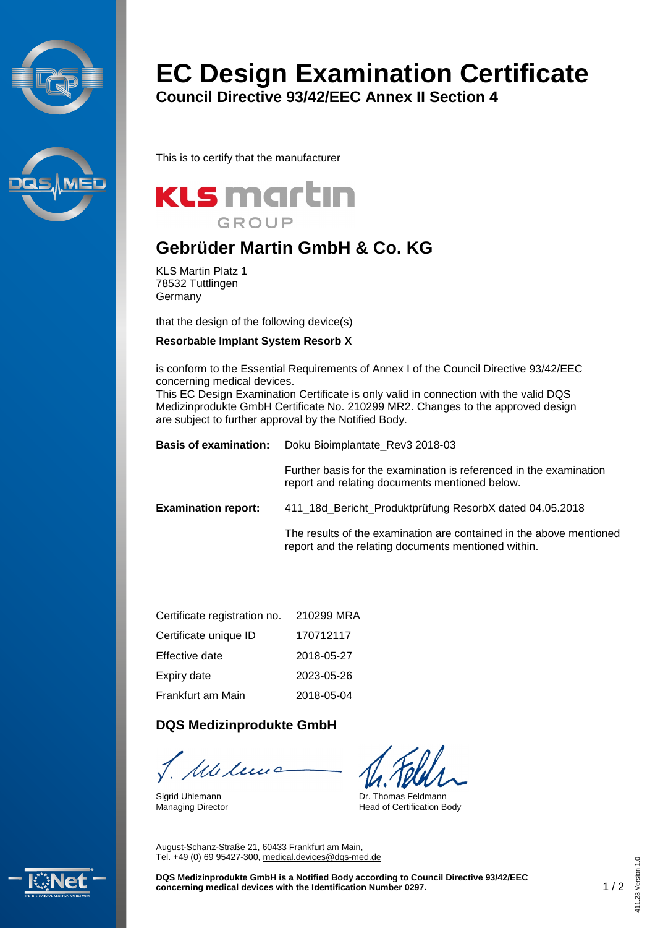



# **EC Design Examination Certificate**

**Council Directive 93/42/EEC Annex II Section 4**

This is to certify that the manufacturer



## **Gebrüder Martin GmbH & Co. KG**

KLS Martin Platz 1 78532 Tuttlingen Germany

that the design of the following device(s)

#### **Resorbable Implant System Resorb X**

is conform to the Essential Requirements of Annex I of the Council Directive 93/42/EEC concerning medical devices.

This EC Design Examination Certificate is only valid in connection with the valid DQS Medizinprodukte GmbH Certificate No. 210299 MR2. Changes to the approved design are subject to further approval by the Notified Body.

| <b>Basis of examination:</b> | Doku Bioimplantate Rev3 2018-03                                                                                            |  |
|------------------------------|----------------------------------------------------------------------------------------------------------------------------|--|
|                              | Further basis for the examination is referenced in the examination<br>report and relating documents mentioned below.       |  |
| <b>Examination report:</b>   | 411 18d Bericht Produktprüfung ResorbX dated 04.05.2018                                                                    |  |
|                              | The results of the examination are contained in the above mentioned<br>report and the relating documents mentioned within. |  |
|                              |                                                                                                                            |  |

| Certificate registration no. | 210299 MRA |
|------------------------------|------------|
| Certificate unique ID        | 170712117  |
| Effective date               | 2018-05-27 |
| Expiry date                  | 2023-05-26 |
| Frankfurt am Main            | 2018-05-04 |

#### **DQS Medizinprodukte GmbH**

M len

Sigrid Uhlemann Managing Director

Dr. Thomas Feldmann Head of Certification Body

August-Schanz-Straße 21, 60433 Frankfurt am Main, Tel. +49 (0) 69 95427-300, [medical.devices@dqs-med.de](mailto:medical.devices@dqs-med.de)



**DQS Medizinprodukte GmbH is a Notified Body according to Council Directive 93/42/EEC concerning medical devices with the Identification Number 0297.** 1 / 2 411.23 Version 1.0